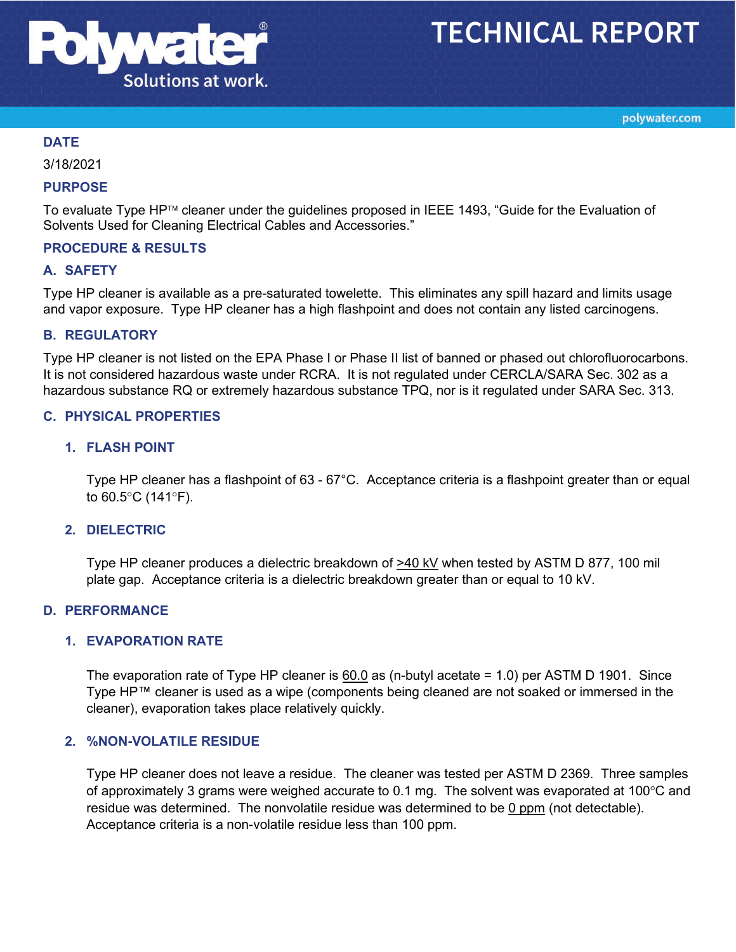

# **TECHNICAL REPORT**

polywater.com

## **DATE**

3/18/2021

#### **PURPOSE**

To evaluate Type HP™ cleaner under the guidelines proposed in IEEE 1493, "Guide for the Evaluation of Solvents Used for Cleaning Electrical Cables and Accessories."

#### **PROCEDURE & RESULTS**

#### **A. SAFETY**

Type HP cleaner is available as a pre-saturated towelette. This eliminates any spill hazard and limits usage and vapor exposure. Type HP cleaner has a high flashpoint and does not contain any listed carcinogens.

#### **B. REGULATORY**

Type HP cleaner is not listed on the EPA Phase I or Phase II list of banned or phased out chlorofluorocarbons. It is not considered hazardous waste under RCRA. It is not regulated under CERCLA/SARA Sec. 302 as a hazardous substance RQ or extremely hazardous substance TPQ, nor is it regulated under SARA Sec. 313.

#### **C. PHYSICAL PROPERTIES**

#### **1. FLASH POINT**

Type HP cleaner has a flashpoint of 63 - 67°C. Acceptance criteria is a flashpoint greater than or equal to 60.5°C (141°F).

#### **2. DIELECTRIC**

Type HP cleaner produces a dielectric breakdown of >40 kV when tested by ASTM D 877, 100 mil plate gap. Acceptance criteria is a dielectric breakdown greater than or equal to 10 kV.

## **D. PERFORMANCE**

## **1. EVAPORATION RATE**

The evaporation rate of Type HP cleaner is 60.0 as (n-butyl acetate = 1.0) per ASTM D 1901. Since Type HP™ cleaner is used as a wipe (components being cleaned are not soaked or immersed in the cleaner), evaporation takes place relatively quickly.

## **2. %NON-VOLATILE RESIDUE**

Type HP cleaner does not leave a residue. The cleaner was tested per ASTM D 2369. Three samples of approximately 3 grams were weighed accurate to 0.1 mg. The solvent was evaporated at 100°C and residue was determined. The nonvolatile residue was determined to be 0 ppm (not detectable). Acceptance criteria is a non-volatile residue less than 100 ppm.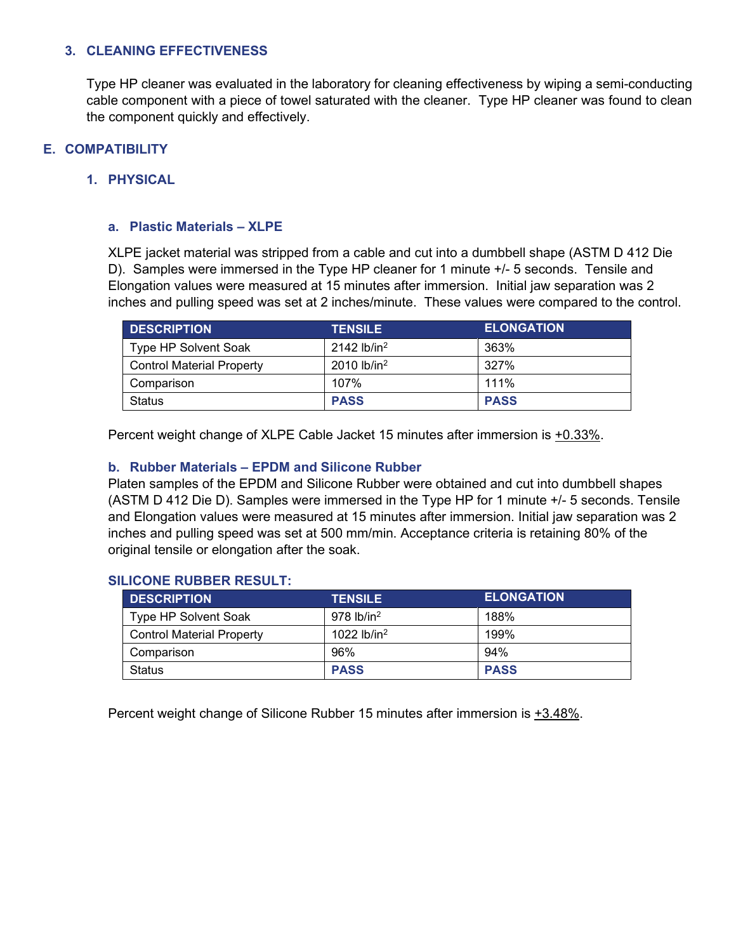## **3. CLEANING EFFECTIVENESS**

Type HP cleaner was evaluated in the laboratory for cleaning effectiveness by wiping a semi-conducting cable component with a piece of towel saturated with the cleaner. Type HP cleaner was found to clean the component quickly and effectively.

## **E. COMPATIBILITY**

## **1. PHYSICAL**

## **a. Plastic Materials – XLPE**

XLPE jacket material was stripped from a cable and cut into a dumbbell shape (ASTM D 412 Die D). Samples were immersed in the Type HP cleaner for 1 minute +/- 5 seconds. Tensile and Elongation values were measured at 15 minutes after immersion. Initial jaw separation was 2 inches and pulling speed was set at 2 inches/minute. These values were compared to the control.

| <b>DESCRIPTION</b>               | <b>TENSILE</b>            | <b>ELONGATION</b> |
|----------------------------------|---------------------------|-------------------|
| Type HP Solvent Soak             | $2142$ lb/in <sup>2</sup> | 363%              |
| <b>Control Material Property</b> | $2010$ lb/in <sup>2</sup> | 327%              |
| Comparison                       | 107%                      | 111%              |
| Status                           | <b>PASS</b>               | <b>PASS</b>       |

Percent weight change of XLPE Cable Jacket 15 minutes after immersion is +0.33%.

## **b. Rubber Materials – EPDM and Silicone Rubber**

Platen samples of the EPDM and Silicone Rubber were obtained and cut into dumbbell shapes (ASTM D 412 Die D). Samples were immersed in the Type HP for 1 minute +/- 5 seconds. Tensile and Elongation values were measured at 15 minutes after immersion. Initial jaw separation was 2 inches and pulling speed was set at 500 mm/min. Acceptance criteria is retaining 80% of the original tensile or elongation after the soak.

#### **SILICONE RUBBER RESULT:**

| <b>DESCRIPTION</b>               | <b>TENSILE</b>           | <b>ELONGATION</b> |
|----------------------------------|--------------------------|-------------------|
| Type HP Solvent Soak             | $978$ lb/in <sup>2</sup> | 188%              |
| <b>Control Material Property</b> | 1022 $lb/in^2$           | 199%              |
| Comparison                       | 96%                      | 94%               |
| <b>Status</b>                    | <b>PASS</b>              | <b>PASS</b>       |

Percent weight change of Silicone Rubber 15 minutes after immersion is +3.48%.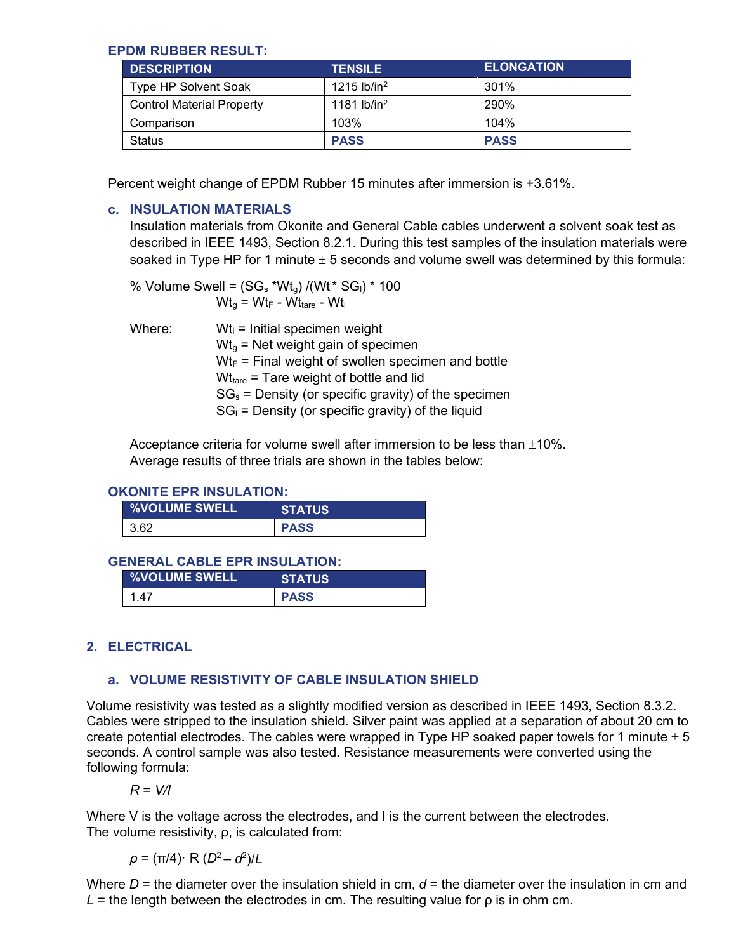## **EPDM RUBBER RESULT:**

| <b>DESCRIPTION</b>               | <b>TENSILE</b>            | <b>ELONGATION</b> |
|----------------------------------|---------------------------|-------------------|
| Type HP Solvent Soak             | $1215$ lb/in <sup>2</sup> | 301%              |
| <b>Control Material Property</b> | 1181 lb/in <sup>2</sup>   | 290%              |
| Comparison                       | 103%                      | 104%              |
| <b>Status</b>                    | <b>PASS</b>               | <b>PASS</b>       |

Percent weight change of EPDM Rubber 15 minutes after immersion is +3.61%.

## **c. INSULATION MATERIALS**

Insulation materials from Okonite and General Cable cables underwent a solvent soak test as described in IEEE 1493, Section 8.2.1. During this test samples of the insulation materials were soaked in Type HP for 1 minute  $\pm$  5 seconds and volume swell was determined by this formula:

% Volume Swell =  $(SG_s * Wt_q) / (Wt_i * SG_l) * 100$  $Wt_{0} = Wt_{F} - Wt_{tare} - Wt_{i}$ 

Where:  $Wt_i =$  Initial specimen weight  $Wt<sub>g</sub>$  = Net weight gain of specimen  $Wt_F$  = Final weight of swollen specimen and bottle  $Wt<sub>tare</sub>$  = Tare weight of bottle and lid  $SG_s$  = Density (or specific gravity) of the specimen  $SG<sub>l</sub>$  = Density (or specific gravity) of the liquid

Acceptance criteria for volume swell after immersion to be less than  $\pm 10\%$ . Average results of three trials are shown in the tables below:

## **OKONITE EPR INSULATION:**

| <b>%VOLUME SWELL</b> | <b>STATUS</b> |
|----------------------|---------------|
| 3.62                 | <b>PASS</b>   |

#### **GENERAL CABLE EPR INSULATION:**

| <b>WOLUME SWELL</b> | <b>STATUS</b> |
|---------------------|---------------|
| 1 47                | <b>PASS</b>   |

## **2. ELECTRICAL**

# **a. VOLUME RESISTIVITY OF CABLE INSULATION SHIELD**

Volume resistivity was tested as a slightly modified version as described in IEEE 1493, Section 8.3.2. Cables were stripped to the insulation shield. Silver paint was applied at a separation of about 20 cm to create potential electrodes. The cables were wrapped in Type HP soaked paper towels for 1 minute  $\pm 5$ seconds. A control sample was also tested. Resistance measurements were converted using the following formula:

*R* = *V/I*

Where V is the voltage across the electrodes, and I is the current between the electrodes. The volume resistivity, ρ, is calculated from:

*ρ* = (π/4)· R (*D*2 – *d*<sup>2</sup> )/*L*

Where  $D =$  the diameter over the insulation shield in cm,  $d =$  the diameter over the insulation in cm and  $L =$  the length between the electrodes in cm. The resulting value for  $\rho$  is in ohm cm.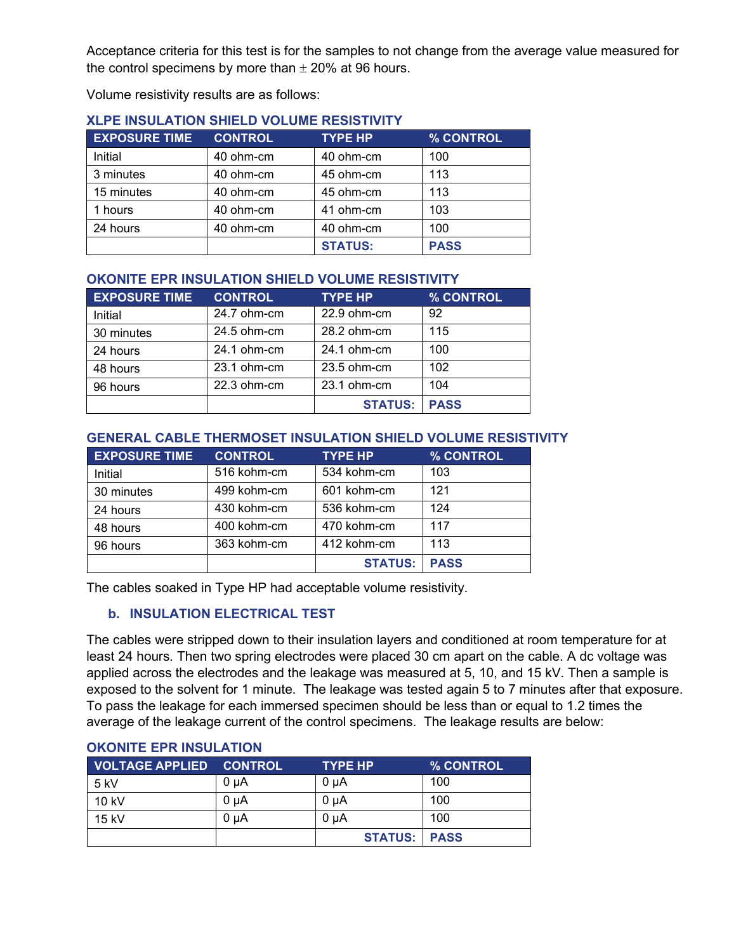Acceptance criteria for this test is for the samples to not change from the average value measured for the control specimens by more than  $\pm$  20% at 96 hours.

Volume resistivity results are as follows:

| <b>EXPOSURE TIME</b> | <b>CONTROL</b> | <b>TYPE HP</b> | % CONTROL   |
|----------------------|----------------|----------------|-------------|
| Initial              | 40 ohm-cm      | 40 ohm-cm      | 100         |
| 3 minutes            | 40 ohm-cm      | 45 ohm-cm      | 113         |
| 15 minutes           | 40 ohm-cm      | 45 ohm-cm      | 113         |
| 1 hours              | 40 ohm-cm      | 41 ohm-cm      | 103         |
| 24 hours             | 40 ohm-cm      | 40 ohm-cm      | 100         |
|                      |                | <b>STATUS:</b> | <b>PASS</b> |

## **XLPE INSULATION SHIELD VOLUME RESISTIVITY**

## **OKONITE EPR INSULATION SHIELD VOLUME RESISTIVITY**

| <b>EXPOSURE TIME</b> | <b>CONTROL</b> | <b>TYPE HP</b> | % CONTROL   |
|----------------------|----------------|----------------|-------------|
| Initial              | 24.7 ohm-cm    | 22.9 ohm-cm    | -92         |
| 30 minutes           | 24.5 ohm-cm    | 28.2 ohm-cm    | 115         |
| 24 hours             | 24.1 ohm-cm    | 24.1 ohm-cm    | 100         |
| 48 hours             | 23.1 ohm-cm    | 23.5 ohm-cm    | 102         |
| 96 hours             | 22.3 ohm-cm    | 23.1 ohm-cm    | 104         |
|                      |                | <b>STATUS:</b> | <b>PASS</b> |

## **GENERAL CABLE THERMOSET INSULATION SHIELD VOLUME RESISTIVITY**

| <b>EXPOSURE TIME</b> | <b>CONTROL</b> | <b>TYPE HP</b> | % CONTROL   |
|----------------------|----------------|----------------|-------------|
| Initial              | 516 kohm-cm    | 534 kohm-cm    | 103         |
| 30 minutes           | 499 kohm-cm    | 601 kohm-cm    | 121         |
| 24 hours             | 430 kohm-cm    | 536 kohm-cm    | 124         |
| 48 hours             | 400 kohm-cm    | 470 kohm-cm    | 117         |
| 96 hours             | 363 kohm-cm    | 412 kohm-cm    | 113         |
|                      |                | <b>STATUS:</b> | <b>PASS</b> |

The cables soaked in Type HP had acceptable volume resistivity.

# **b. INSULATION ELECTRICAL TEST**

The cables were stripped down to their insulation layers and conditioned at room temperature for at least 24 hours. Then two spring electrodes were placed 30 cm apart on the cable. A dc voltage was applied across the electrodes and the leakage was measured at 5, 10, and 15 kV. Then a sample is exposed to the solvent for 1 minute. The leakage was tested again 5 to 7 minutes after that exposure. To pass the leakage for each immersed specimen should be less than or equal to 1.2 times the average of the leakage current of the control specimens. The leakage results are below:

| <b>VOLTAGE APPLIED</b> | <b>CONTROL</b> | <b>TYPE HP</b>      | % CONTROL |
|------------------------|----------------|---------------------|-----------|
| 5 kV                   | 0 uA           | 0 µA                | 100       |
| 10 kV                  | 0 uA           | 0 uA                | 100       |
| $15$ kV                | 0 uA           | 0 uA                | 100       |
|                        |                | <b>STATUS: PASS</b> |           |

## **OKONITE EPR INSULATION**